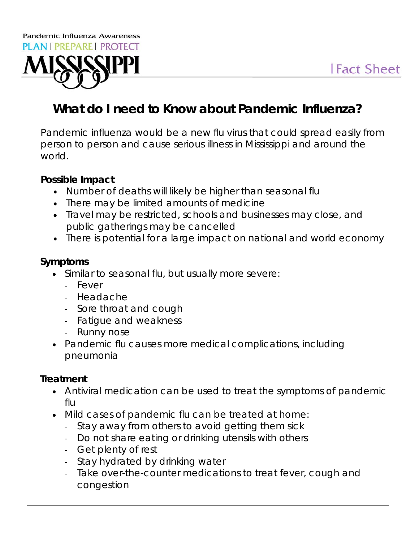

# **What do I need to Know about Pandemic Influenza?**

Pandemic influenza would be a new flu virus that could spread easily from person to person and cause serious illness in Mississippi and around the world.

#### **Possible Impact**

- Number of deaths will likely be higher than seasonal flu
- There may be limited amounts of medicine
- Travel may be restricted, schools and businesses may close, and public gatherings may be cancelled
- There is potential for a large impact on national and world economy

#### **Symptoms**

- Similar to seasonal flu, but usually more severe:
	- Fever
	- Headache
	- Sore throat and cough
	- Fatigue and weakness
	- Runny nose
- Pandemic flu causes more medical complications, including pneumonia

### **Treatment**

- Antiviral medication can be used to treat the symptoms of pandemic flu
- Mild cases of pandemic flu can be treated at home:
	- Stay away from others to avoid getting them sick
	- Do not share eating or drinking utensils with others
	- Get plenty of rest
	- Stay hydrated by drinking water
	- Take over-the-counter medications to treat fever, cough and congestion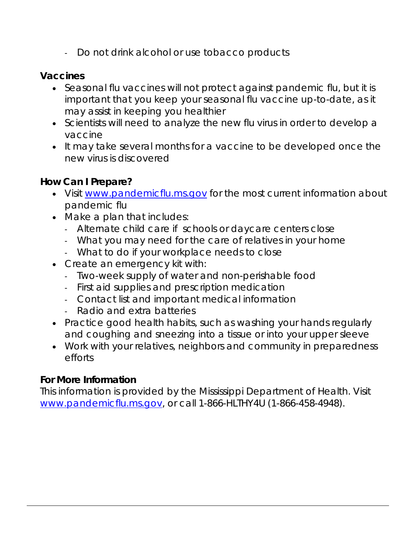- Do not drink alcohol or use tobacco products

#### **Vaccines**

- Seasonal flu vaccines will not protect against pandemic flu, but it is important that you keep your seasonal flu vaccine up-to-date, as it may assist in keeping you healthier
- Scientists will need to analyze the new flu virus in order to develop a vaccine
- It may take several months for a vaccine to be developed once the new virus is discovered

#### **How Can I Prepare?**

- Visit www.pandemicflu.ms.gov for the most current information about pandemic flu
- Make a plan that includes:
	- Alternate child care if schools or daycare centers close
	- What you may need for the care of relatives in your home
	- What to do if your workplace needs to close
- Create an emergency kit with:
	- Two-week supply of water and non-perishable food
	- First aid supplies and prescription medication
	- Contact list and important medical information
	- Radio and extra batteries
- Practice good health habits, such as washing your hands regularly and coughing and sneezing into a tissue or into your upper sleeve
- Work with your relatives, neighbors and community in preparedness efforts

#### **For More Information**

This information is provided by the Mississippi Department of Health. Visit www.pandemicflu.ms.gov, or call 1-866-HLTHY4U (1-866-458-4948).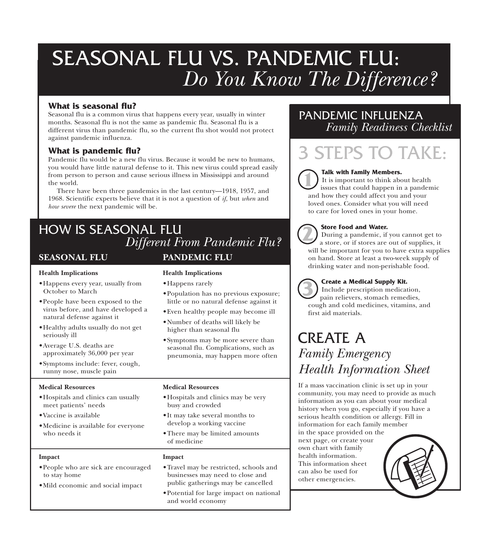# SEASONAL FLU VS. PANDEMIC FLU: *Do You Know The Difference?*

#### **What is seasonal flu?**

Seasonal flu is a common virus that happens every year, usually in winter months. Seasonal flu is not the same as pandemic flu. Seasonal flu is a different virus than pandemic flu, so the current flu shot would not protect against pandemic influenza.

#### **What is pandemic flu?**

Pandemic flu would be a new flu virus. Because it would be new to humans, you would have little natural defense to it. This new virus could spread easily from person to person and cause serious illness in Mississippi and around the world.

There have been three pandemics in the last century—1918, 1957, and 1968. Scientific experts believe that it is not a question of *if*, but *when* and *how severe* the next pandemic will be.

# **SEASONAL FLU** HOW IS SEASONAL FLU *Different From Pandemic Flu?*

#### **Health Implications**

- •Happens every year, usually from October to March
- •People have been exposed to the virus before, and have developed a natural defense against it
- •Healthy adults usually do not get seriously ill
- •Average U.S. deaths are approximately 36,000 per year
- •Symptoms include: fever, cough, runny nose, muscle pain

#### **Medical Resources**

- •Hospitals and clinics can usually meet patients' needs
- •Vaccine is available
- •Medicine is available for everyone who needs it

#### **Impact**

- •People who are sick are encouraged to stay home
- •Mild economic and social impact

### **PANDEMIC FLU**

#### **Health Implications**

- •Happens rarely
- •Population has no previous exposure; little or no natural defense against it
- •Even healthy people may become ill
- •Number of deaths will likely be higher than seasonal flu
- •Symptoms may be more severe than seasonal flu. Complications, such as pneumonia, may happen more often

#### **Medical Resources**

- •Hospitals and clinics may be very busy and crowded
- It may take several months to develop a working vaccine
- •There may be limited amounts of medicine

#### **Impact**

- •Travel may be restricted, schools and businesses may need to close and public gatherings may be cancelled
- •Potential for large impact on national and world economy

## PANDEMIC INFLUENZA *Family Readiness Checklist*

# 3 STEPS TO TAKE:

#### **Talk with Family Members.**

It is important to think about health issues that could happen in a pandemic and how they could affect you and your loved ones. Consider what you will need to care for loved ones in your home. **1**

#### **Store Food and Water.**

During a pandemic, if you cannot get to a store, or if stores are out of supplies, it will be important for you to have extra supplies on hand. Store at least a two-week supply of drinking water and non-perishable food. **2**

#### **Create a Medical Supply Kit.**

Include prescription medication, pain relievers, stomach remedies, cough and cold medicines, vitamins, and first aid materials. **3**

# CREATE A *Family Emergency Health Information Sheet*

If a mass vaccination clinic is set up in your community, you may need to provide as much information as you can about your medical history when you go, especially if you have a serious health condition or allergy. Fill in information for each family member in the space provided on the next page, or create your own chart with family health information. This information sheet can also be used for other emergencies.